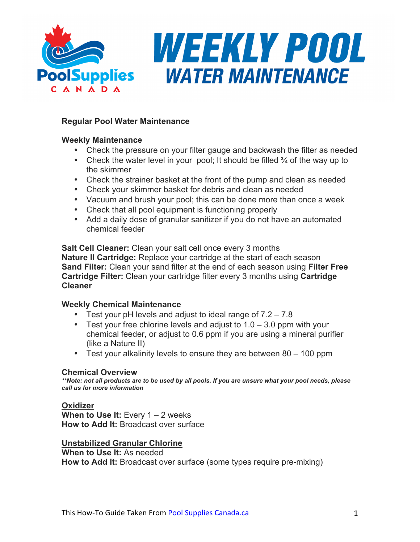

# **Regular Pool Water Maintenance**

## **Weekly Maintenance**

- Check the pressure on your filter gauge and backwash the filter as needed
- Check the water level in your pool; It should be filled  $\frac{3}{4}$  of the way up to the skimmer
- Check the strainer basket at the front of the pump and clean as needed
- Check your skimmer basket for debris and clean as needed
- Vacuum and brush your pool; this can be done more than once a week
- Check that all pool equipment is functioning properly
- Add a daily dose of granular sanitizer if you do not have an automated chemical feeder

**Salt Cell Cleaner:** Clean your salt cell once every 3 months **Nature II Cartridge:** Replace your cartridge at the start of each season **Sand Filter:** Clean your sand filter at the end of each season using **Filter Free Cartridge Filter:** Clean your cartridge filter every 3 months using **Cartridge Cleaner**

## **Weekly Chemical Maintenance**

- Test your pH levels and adjust to ideal range of 7.2 7.8
- Test your free chlorine levels and adjust to  $1.0 3.0$  ppm with your chemical feeder, or adjust to 0.6 ppm if you are using a mineral purifier (like a Nature II)
- Test your alkalinity levels to ensure they are between 80 100 ppm

#### **Chemical Overview**

*\*\*Note: not all products are to be used by all pools. If you are unsure what your pool needs, please call us for more information*

## **Oxidizer**

**When to Use It:** Every 1 – 2 weeks **How to Add It:** Broadcast over surface

## **Unstabilized Granular Chlorine**

**When to Use It:** As needed **How to Add It:** Broadcast over surface (some types require pre-mixing)